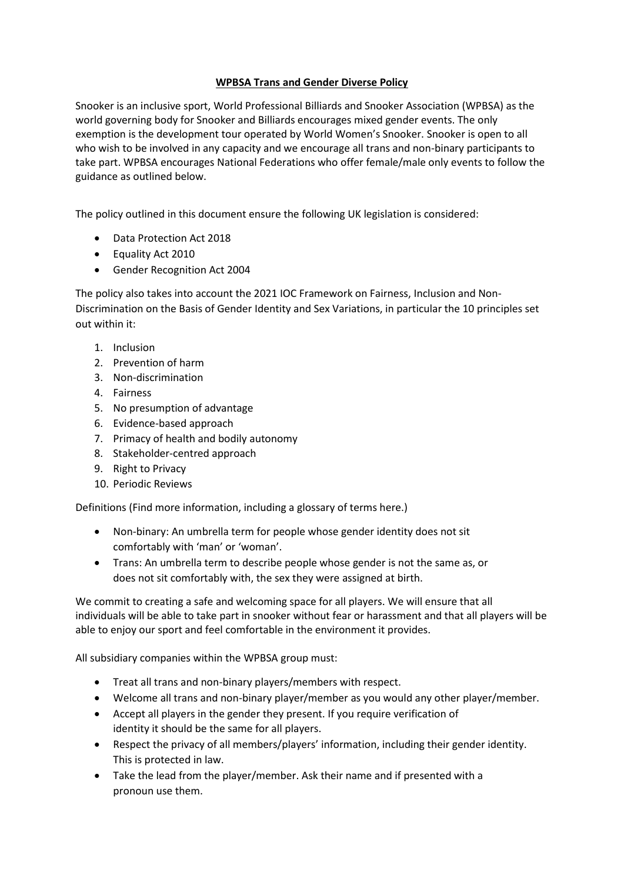# **WPBSA Trans and Gender Diverse Policy**

Snooker is an inclusive sport, World Professional Billiards and Snooker Association (WPBSA) as the world governing body for Snooker and Billiards encourages mixed gender events. The only exemption is the development tour operated by World Women's Snooker. Snooker is open to all who wish to be involved in any capacity and we encourage all trans and non-binary participants to take part. WPBSA encourages National Federations who offer female/male only events to follow the guidance as outlined below.

The policy outlined in this document ensure the following UK legislation is considered:

- Data Protection Act 2018
- Equality Act 2010
- Gender Recognition Act 2004

The policy also takes into account the 2021 IOC Framework on Fairness, Inclusion and Non-Discrimination on the Basis of Gender Identity and Sex Variations, in particular the 10 principles set out within it:

- 1. Inclusion
- 2. Prevention of harm
- 3. Non-discrimination
- 4. Fairness
- 5. No presumption of advantage
- 6. Evidence-based approach
- 7. Primacy of health and bodily autonomy
- 8. Stakeholder-centred approach
- 9. Right to Privacy
- 10. Periodic Reviews

Definitions (Find more information, including a glossary of terms here.)

- Non-binary: An umbrella term for people whose gender identity does not sit comfortably with 'man' or 'woman'.
- Trans: An umbrella term to describe people whose gender is not the same as, or does not sit comfortably with, the sex they were assigned at birth.

We commit to creating a safe and welcoming space for all players. We will ensure that all individuals will be able to take part in snooker without fear or harassment and that all players will be able to enjoy our sport and feel comfortable in the environment it provides.

All subsidiary companies within the WPBSA group must:

- Treat all trans and non-binary players/members with respect.
- Welcome all trans and non-binary player/member as you would any other player/member.
- Accept all players in the gender they present. If you require verification of identity it should be the same for all players.
- Respect the privacy of all members/players' information, including their gender identity. This is protected in law.
- Take the lead from the player/member. Ask their name and if presented with a pronoun use them.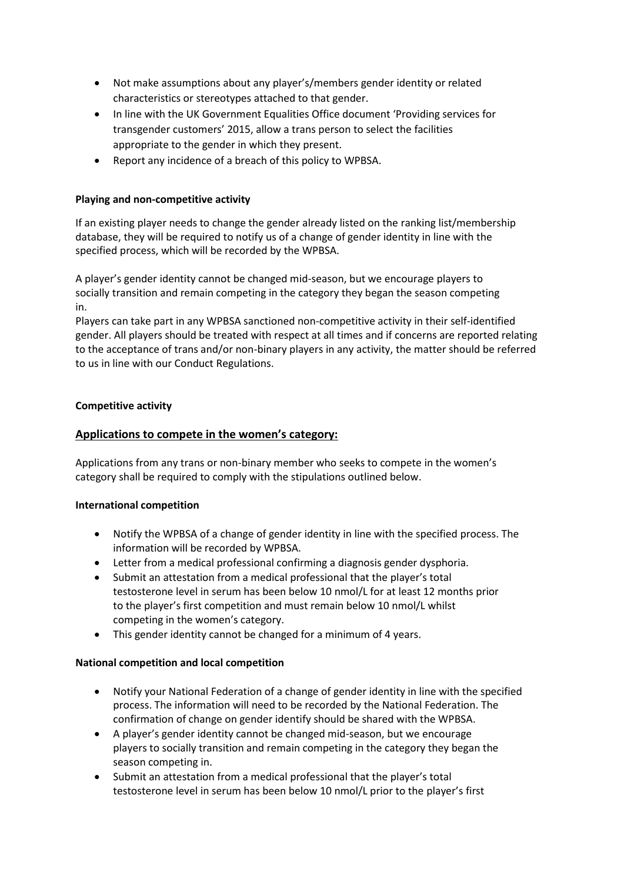- Not make assumptions about any player's/members gender identity or related characteristics or stereotypes attached to that gender.
- In line with the UK Government Equalities Office document 'Providing services for transgender customers' 2015, allow a trans person to select the facilities appropriate to the gender in which they present.
- Report any incidence of a breach of this policy to WPBSA.

# **Playing and non-competitive activity**

If an existing player needs to change the gender already listed on the ranking list/membership database, they will be required to notify us of a change of gender identity in line with the specified process, which will be recorded by the WPBSA.

A player's gender identity cannot be changed mid-season, but we encourage players to socially transition and remain competing in the category they began the season competing in.

Players can take part in any WPBSA sanctioned non-competitive activity in their self-identified gender. All players should be treated with respect at all times and if concerns are reported relating to the acceptance of trans and/or non-binary players in any activity, the matter should be referred to us in line with our Conduct Regulations.

### **Competitive activity**

# **Applications to compete in the women's category:**

Applications from any trans or non-binary member who seeks to compete in the women's category shall be required to comply with the stipulations outlined below.

#### **International competition**

- Notify the WPBSA of a change of gender identity in line with the specified process. The information will be recorded by WPBSA.
- Letter from a medical professional confirming a diagnosis gender dysphoria.
- Submit an attestation from a medical professional that the player's total testosterone level in serum has been below 10 nmol/L for at least 12 months prior to the player's first competition and must remain below 10 nmol/L whilst competing in the women's category.
- This gender identity cannot be changed for a minimum of 4 years.

#### **National competition and local competition**

- Notify your National Federation of a change of gender identity in line with the specified process. The information will need to be recorded by the National Federation. The confirmation of change on gender identify should be shared with the WPBSA.
- A player's gender identity cannot be changed mid-season, but we encourage players to socially transition and remain competing in the category they began the season competing in.
- Submit an attestation from a medical professional that the player's total testosterone level in serum has been below 10 nmol/L prior to the player's first